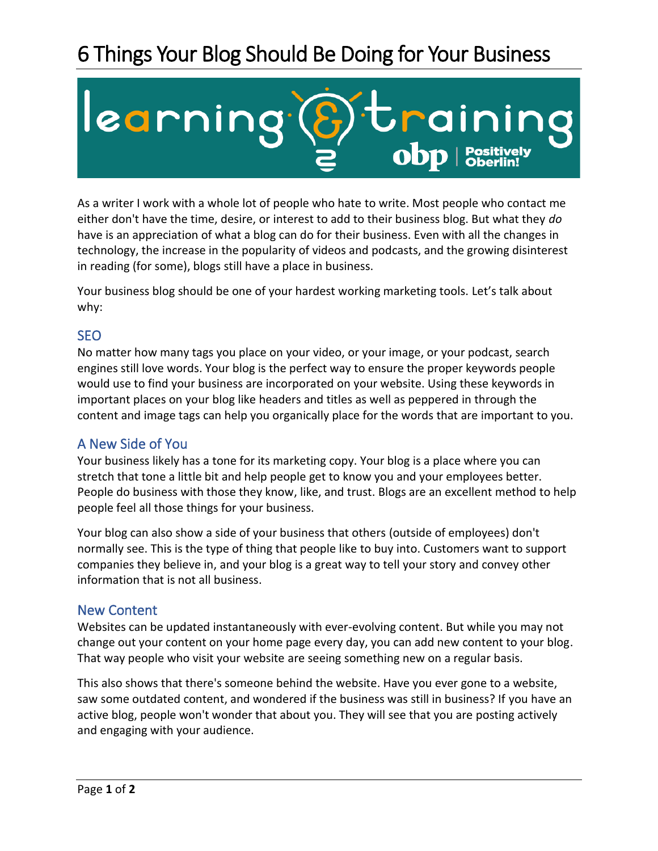# 6 Things Your Blog Should Be Doing for Your Business



As a writer I work with a whole lot of people who hate to write. Most people who contact me either don't have the time, desire, or interest to add to their business blog. But what they *do* have is an appreciation of what a blog can do for their business. Even with all the changes in technology, the increase in the popularity of videos and podcasts, and the growing disinterest in reading (for some), blogs still have a place in business.

Your business blog should be one of your hardest working marketing tools. Let's talk about why:

# SEO

No matter how many tags you place on your video, or your image, or your podcast, search engines still love words. Your blog is the perfect way to ensure the proper keywords people would use to find your business are incorporated on your website. Using these keywords in important places on your blog like headers and titles as well as peppered in through the content and image tags can help you organically place for the words that are important to you.

# A New Side of You

Your business likely has a tone for its marketing copy. Your blog is a place where you can stretch that tone a little bit and help people get to know you and your employees better. People do business with those they know, like, and trust. Blogs are an excellent method to help people feel all those things for your business.

Your blog can also show a side of your business that others (outside of employees) don't normally see. This is the type of thing that people like to buy into. Customers want to support companies they believe in, and your blog is a great way to tell your story and convey other information that is not all business.

## New Content

Websites can be updated instantaneously with ever-evolving content. But while you may not change out your content on your home page every day, you can add new content to your blog. That way people who visit your website are seeing something new on a regular basis.

This also shows that there's someone behind the website. Have you ever gone to a website, saw some outdated content, and wondered if the business was still in business? If you have an active blog, people won't wonder that about you. They will see that you are posting actively and engaging with your audience.